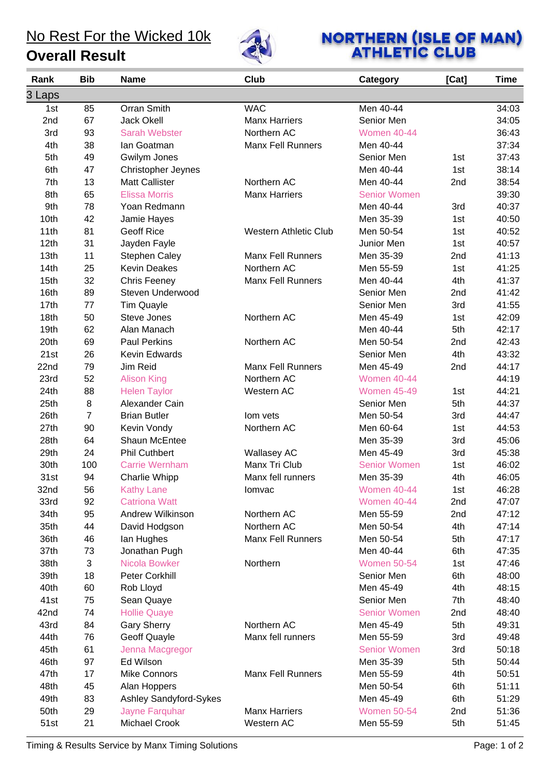### No Rest For the Wicked 10k

**Overall Result**



# **NORTHERN (ISLE OF MAN)**<br>ATHLETIC CLUB

| Rank   | <b>Bib</b> | <b>Name</b>               | Club                         | <b>Category</b>     | [Cat] | <b>Time</b> |
|--------|------------|---------------------------|------------------------------|---------------------|-------|-------------|
| 3 Laps |            |                           |                              |                     |       |             |
| 1st    | 85         | Orran Smith               | <b>WAC</b>                   | Men 40-44           |       | 34:03       |
| 2nd    | 67         | <b>Jack Okell</b>         | <b>Manx Harriers</b>         | Senior Men          |       | 34:05       |
| 3rd    | 93         | <b>Sarah Webster</b>      | Northern AC                  | <b>Women 40-44</b>  |       | 36:43       |
| 4th    | 38         | lan Goatman               | <b>Manx Fell Runners</b>     | Men 40-44           |       | 37:34       |
| 5th    | 49         | Gwilym Jones              |                              | Senior Men          | 1st   | 37:43       |
| 6th    | 47         | <b>Christopher Jeynes</b> |                              | Men 40-44           | 1st   | 38:14       |
| 7th    | 13         | <b>Matt Callister</b>     | Northern AC                  | Men 40-44           | 2nd   | 38:54       |
| 8th    | 65         | <b>Elissa Morris</b>      | <b>Manx Harriers</b>         | <b>Senior Women</b> |       | 39:30       |
| 9th    | 78         | Yoan Redmann              |                              | Men 40-44           | 3rd   | 40:37       |
| 10th   | 42         | Jamie Hayes               |                              | Men 35-39           | 1st   | 40:50       |
| 11th   | 81         | <b>Geoff Rice</b>         | <b>Western Athletic Club</b> | Men 50-54           | 1st   | 40:52       |
| 12th   | 31         | Jayden Fayle              |                              | Junior Men          | 1st   | 40:57       |
| 13th   | 11         | <b>Stephen Caley</b>      | <b>Manx Fell Runners</b>     | Men 35-39           | 2nd   | 41:13       |
| 14th   | 25         | <b>Kevin Deakes</b>       | Northern AC                  | Men 55-59           | 1st   | 41:25       |
| 15th   | 32         | Chris Feeney              | <b>Manx Fell Runners</b>     | Men 40-44           | 4th   | 41:37       |
| 16th   | 89         | Steven Underwood          |                              | Senior Men          | 2nd   | 41:42       |
| 17th   | 77         | <b>Tim Quayle</b>         |                              | Senior Men          | 3rd   | 41:55       |
| 18th   | 50         | <b>Steve Jones</b>        | Northern AC                  | Men 45-49           | 1st   | 42:09       |
| 19th   | 62         | Alan Manach               |                              | Men 40-44           | 5th   | 42:17       |
| 20th   | 69         | <b>Paul Perkins</b>       | Northern AC                  | Men 50-54           | 2nd   | 42:43       |
| 21st   | 26         | Kevin Edwards             |                              | Senior Men          | 4th   | 43:32       |
| 22nd   | 79         | Jim Reid                  | <b>Manx Fell Runners</b>     | Men 45-49           | 2nd   | 44:17       |
| 23rd   | 52         | <b>Alison King</b>        | Northern AC                  | <b>Women 40-44</b>  |       | 44:19       |
| 24th   | 88         | <b>Helen Taylor</b>       | Western AC                   | <b>Women 45-49</b>  | 1st   | 44:21       |
| 25th   | 8          | Alexander Cain            |                              | Senior Men          | 5th   | 44:37       |
| 26th   | 7          | <b>Brian Butler</b>       | lom vets                     | Men 50-54           | 3rd   | 44:47       |
| 27th   | 90         | Kevin Vondy               | Northern AC                  | Men 60-64           | 1st   | 44:53       |
| 28th   | 64         | Shaun McEntee             |                              | Men 35-39           | 3rd   | 45:06       |
| 29th   | 24         | <b>Phil Cuthbert</b>      | <b>Wallasey AC</b>           | Men 45-49           | 3rd   | 45:38       |
| 30th   | 100        | <b>Carrie Wernham</b>     | Manx Tri Club                | <b>Senior Women</b> | 1st   | 46:02       |
| 31st   | 94         | Charlie Whipp             | Manx fell runners            | Men 35-39           | 4th   | 46:05       |
| 32nd   | 56         | <b>Kathy Lane</b>         | lomvac                       | <b>Women 40-44</b>  | 1st   | 46:28       |
| 33rd   | 92         | <b>Catriona Watt</b>      |                              | <b>Women 40-44</b>  | 2nd   | 47:07       |
| 34th   | 95         | Andrew Wilkinson          | Northern AC                  | Men 55-59           | 2nd   | 47:12       |
| 35th   | 44         | David Hodgson             | Northern AC                  | Men 50-54           | 4th   | 47:14       |
| 36th   | 46         | lan Hughes                | <b>Manx Fell Runners</b>     | Men 50-54           | 5th   | 47:17       |
| 37th   | 73         | Jonathan Pugh             |                              | Men 40-44           | 6th   | 47:35       |
| 38th   | 3          | Nicola Bowker             | Northern                     | <b>Women 50-54</b>  | 1st   | 47:46       |
| 39th   | 18         | Peter Corkhill            |                              | Senior Men          | 6th   | 48:00       |
| 40th   | 60         | Rob Lloyd                 |                              | Men 45-49           | 4th   | 48:15       |
| 41st   | 75         | Sean Quaye                |                              | Senior Men          | 7th   | 48:40       |
| 42nd   | 74         | <b>Hollie Quaye</b>       |                              | <b>Senior Women</b> | 2nd   | 48:40       |
| 43rd   | 84         | <b>Gary Sherry</b>        | Northern AC                  | Men 45-49           | 5th   | 49:31       |
| 44th   | 76         | <b>Geoff Quayle</b>       | Manx fell runners            | Men 55-59           | 3rd   | 49:48       |
| 45th   | 61         | Jenna Macgregor           |                              | <b>Senior Women</b> | 3rd   | 50:18       |
| 46th   | 97         | Ed Wilson                 |                              | Men 35-39           | 5th   | 50:44       |
| 47th   | 17         | <b>Mike Connors</b>       | <b>Manx Fell Runners</b>     | Men 55-59           | 4th   | 50:51       |
| 48th   | 45         | Alan Hoppers              |                              | Men 50-54           | 6th   | 51:11       |
| 49th   | 83         | Ashley Sandyford-Sykes    |                              | Men 45-49           | 6th   | 51:29       |
| 50th   | 29         | Jayne Farquhar            | <b>Manx Harriers</b>         | <b>Women 50-54</b>  | 2nd   | 51:36       |
| 51st   | 21         | Michael Crook             | Western AC                   | Men 55-59           | 5th   | 51:45       |

Timing & Results Service by Manx Timing Solutions **Page: 1 of 2** and 2